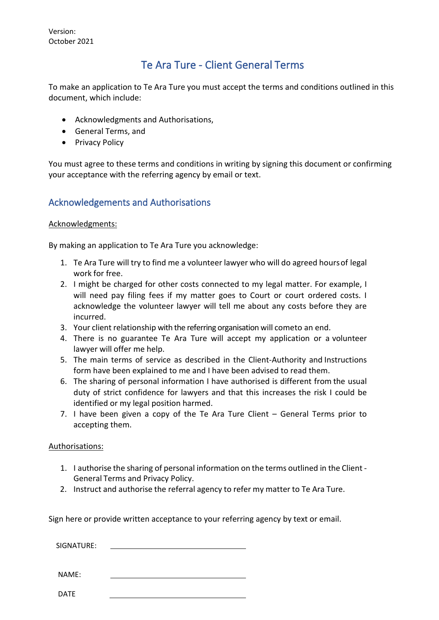Version: October 2021

# Te Ara Ture - Client General Terms

To make an application to Te Ara Ture you must accept the terms and conditions outlined in this document, which include:

- Acknowledgments and Authorisations,
- General Terms, and
- Privacy Policy

You must agree to these terms and conditions in writing by signing this document or confirming your acceptance with the referring agency by email or text.

## Acknowledgements and Authorisations

### Acknowledgments:

By making an application to Te Ara Ture you acknowledge:

- 1. Te Ara Ture will try to find me a volunteer lawyer who will do agreed hoursof legal work for free.
- 2. I might be charged for other costs connected to my legal matter. For example, I will need pay filing fees if my matter goes to Court or court ordered costs. I acknowledge the volunteer lawyer will tell me about any costs before they are incurred.
- 3. Your client relationship with the referring organisation will cometo an end.
- 4. There is no guarantee Te Ara Ture will accept my application or a volunteer lawyer will offer me help.
- 5. The main terms of service as described in the Client-Authority and Instructions form have been explained to me and I have been advised to read them.
- 6. The sharing of personal information I have authorised is different from the usual duty of strict confidence for lawyers and that this increases the risk I could be identified or my legal position harmed.
- 7. I have been given a copy of the Te Ara Ture Client General Terms prior to accepting them.

### Authorisations:

- 1. I authorise the sharing of personal information on the terms outlined in the Client General Terms and Privacy Policy.
- 2. Instruct and authorise the referral agency to refer my matter to Te Ara Ture.

Sign here or provide written acceptance to your referring agency by text or email.

| SIGNATURE: |  |  |  |
|------------|--|--|--|
|            |  |  |  |
|            |  |  |  |
|            |  |  |  |

NAME:

DATE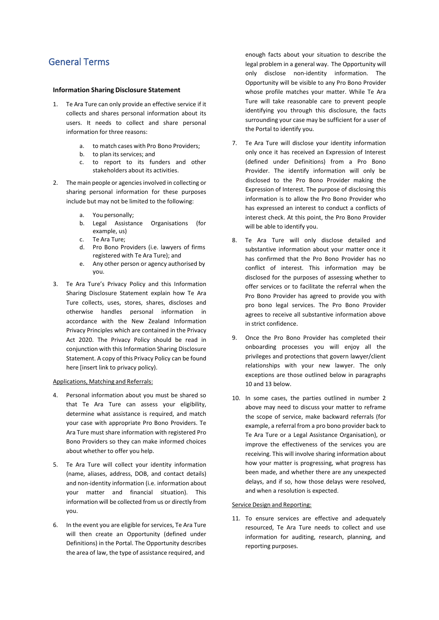### General Terms

#### **Information Sharing Disclosure Statement**

- 1. Te Ara Ture can only provide an effective service if it collects and shares personal information about its users. It needs to collect and share personal information for three reasons:
	- a. to match cases with Pro Bono Providers;
	- b. to plan its services; and
	- c. to report to its funders and other stakeholders about its activities.
- 2. The main people or agencies involved in collecting or sharing personal information for these purposes include but may not be limited to the following:
	- a. You personally;
	- b. Legal Assistance Organisations (for example, us)
	- c. Te Ara Ture;
	- Pro Bono Providers (i.e. lawyers of firms registered with Te Ara Ture); and
	- e. Any other person or agency authorised by you.
- 3. Te Ara Ture's Privacy Policy and this Information Sharing Disclosure Statement explain how Te Ara Ture collects, uses, stores, shares, discloses and otherwise handles personal information in accordance with the New Zealand Information Privacy Principles which are contained in the Privacy Act 2020. The Privacy Policy should be read in conjunction with this Information Sharing Disclosure Statement. A copy of this Privacy Policy can be found here [insert link to privacy policy).

#### Applications, Matching and Referrals:

- 4. Personal information about you must be shared so that Te Ara Ture can assess your eligibility, determine what assistance is required, and match your case with appropriate Pro Bono Providers. Te Ara Ture must share information with registered Pro Bono Providers so they can make informed choices about whether to offer you help.
- 5. Te Ara Ture will collect your identity information (name, aliases, address, DOB, and contact details) and non-identity information (i.e. information about your matter and financial situation). This information will be collected from us or directly from you.
- 6. In the event you are eligible for services, Te Ara Ture will then create an Opportunity (defined under Definitions) in the Portal. The Opportunity describes the area of law, the type of assistance required, and

enough facts about your situation to describe the legal problem in a general way. The Opportunity will only disclose non-identity information. The Opportunity will be visible to any Pro Bono Provider whose profile matches your matter. While Te Ara Ture will take reasonable care to prevent people identifying you through this disclosure, the facts surrounding your case may be sufficient for a user of the Portal to identify you.

- 7. Te Ara Ture will disclose your identity information only once it has received an Expression of Interest (defined under Definitions) from a Pro Bono Provider. The identify information will only be disclosed to the Pro Bono Provider making the Expression of Interest. The purpose of disclosing this information is to allow the Pro Bono Provider who has expressed an interest to conduct a conflicts of interest check. At this point, the Pro Bono Provider will be able to identify you.
- 8. Te Ara Ture will only disclose detailed and substantive information about your matter once it has confirmed that the Pro Bono Provider has no conflict of interest. This information may be disclosed for the purposes of assessing whether to offer services or to facilitate the referral when the Pro Bono Provider has agreed to provide you with pro bono legal services. The Pro Bono Provider agrees to receive all substantive information above in strict confidence.
- 9. Once the Pro Bono Provider has completed their onboarding processes you will enjoy all the privileges and protections that govern lawyer/client relationships with your new lawyer. The only exceptions are those outlined below in paragraphs 10 and 13 below.
- 10. In some cases, the parties outlined in number 2 above may need to discuss your matter to reframe the scope of service, make backward referrals (for example, a referral from a pro bono provider back to Te Ara Ture or a Legal Assistance Organisation), or improve the effectiveness of the services you are receiving. This will involve sharing information about how your matter is progressing, what progress has been made, and whether there are any unexpected delays, and if so, how those delays were resolved, and when a resolution is expected.

### Service Design and Reporting:

11. To ensure services are effective and adequately resourced, Te Ara Ture needs to collect and use information for auditing, research, planning, and reporting purposes.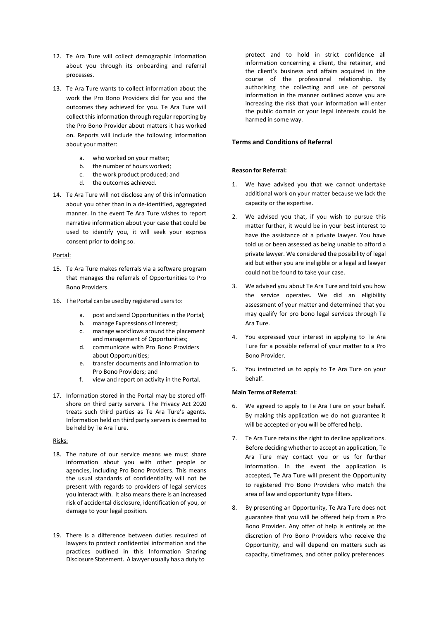- 12. Te Ara Ture will collect demographic information about you through its onboarding and referral processes.
- 13. Te Ara Ture wants to collect information about the work the Pro Bono Providers did for you and the outcomes they achieved for you. Te Ara Ture will collect this information through regular reporting by the Pro Bono Provider about matters it has worked on. Reports will include the following information about your matter:
	- a. who worked on your matter;
	- b. the number of hours worked;
	- c. the work product produced; and
	- d. the outcomes achieved.
- 14. Te Ara Ture will not disclose any of this information about you other than in a de-identified, aggregated manner. In the event Te Ara Ture wishes to report narrative information about your case that could be used to identify you, it will seek your express consent prior to doing so.

#### Portal:

- 15. Te Ara Ture makes referrals via a software program that manages the referrals of Opportunities to Pro Bono Providers.
- 16. The Portal can be used by registered users to:
	- a. post and send Opportunities in the Portal;
	- b. manage Expressions of Interest;
	- c. manage workflows around the placement and management of Opportunities;
	- d. communicate with Pro Bono Providers about Opportunities;
	- e. transfer documents and information to Pro Bono Providers; and
	- f. view and report on activity in the Portal.
- 17. Information stored in the Portal may be stored offshore on third party servers. The Privacy Act 2020 treats such third parties as Te Ara Ture's agents. Information held on third party servers is deemed to be held by Te Ara Ture.

#### Risks:

- 18. The nature of our service means we must share information about you with other people or agencies, including Pro Bono Providers. This means the usual standards of confidentiality will not be present with regards to providers of legal services you interact with. It also means there is an increased risk of accidental disclosure, identification of you, or damage to your legal position.
- 19. There is a difference between duties required of lawyers to protect confidential information and the practices outlined in this Information Sharing Disclosure Statement. A lawyer usually has a duty to

protect and to hold in strict confidence all information concerning a client, the retainer, and the client's business and affairs acquired in the course of the professional relationship. By authorising the collecting and use of personal information in the manner outlined above you are increasing the risk that your information will enter the public domain or your legal interests could be harmed in some way.

#### **Terms and Conditions of Referral**

#### **Reason for Referral:**

- 1. We have advised you that we cannot undertake additional work on your matter because we lack the capacity or the expertise.
- 2. We advised you that, if you wish to pursue this matter further, it would be in your best interest to have the assistance of a private lawyer. You have told us or been assessed as being unable to afford a private lawyer. We considered the possibility of legal aid but either you are ineligible or a legal aid lawyer could not be found to take your case.
- 3. We advised you about Te Ara Ture and told you how the service operates. We did an eligibility assessment of your matter and determined that you may qualify for pro bono legal services through Te Ara Ture.
- 4. You expressed your interest in applying to Te Ara Ture for a possible referral of your matter to a Pro Bono Provider.
- 5. You instructed us to apply to Te Ara Ture on your behalf.

#### **Main Terms of Referral:**

- 6. We agreed to apply to Te Ara Ture on your behalf. By making this application we do not guarantee it will be accepted or you will be offered help.
- 7. Te Ara Ture retains the right to decline applications. Before deciding whether to accept an application, Te Ara Ture may contact you or us for further information. In the event the application is accepted, Te Ara Ture will present the Opportunity to registered Pro Bono Providers who match the area of law and opportunity type filters.
- 8. By presenting an Opportunity, Te Ara Ture does not guarantee that you will be offered help from a Pro Bono Provider. Any offer of help is entirely at the discretion of Pro Bono Providers who receive the Opportunity, and will depend on matters such as capacity, timeframes, and other policy preferences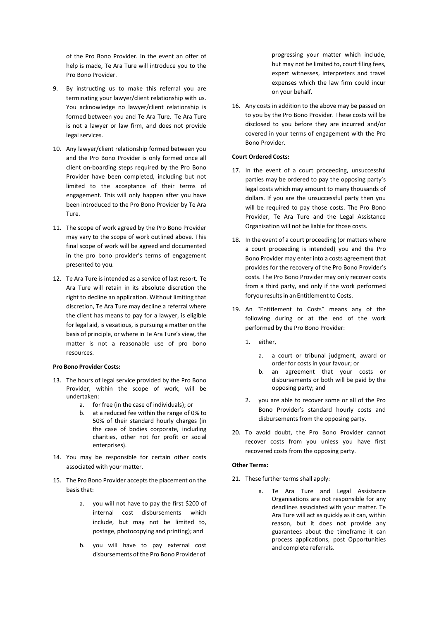of the Pro Bono Provider. In the event an offer of help is made, Te Ara Ture will introduce you to the Pro Bono Provider.

- 9. By instructing us to make this referral you are terminating your lawyer/client relationship with us. You acknowledge no lawyer/client relationship is formed between you and Te Ara Ture. Te Ara Ture is not a lawyer or law firm, and does not provide legal services.
- 10. Any lawyer/client relationship formed between you and the Pro Bono Provider is only formed once all client on-boarding steps required by the Pro Bono Provider have been completed, including but not limited to the acceptance of their terms of engagement. This will only happen after you have been introduced to the Pro Bono Provider by Te Ara Ture.
- 11. The scope of work agreed by the Pro Bono Provider may vary to the scope of work outlined above. This final scope of work will be agreed and documented in the pro bono provider's terms of engagement presented to you.
- 12. Te Ara Ture is intended as a service of last resort. Te Ara Ture will retain in its absolute discretion the right to decline an application. Without limiting that discretion, Te Ara Ture may decline a referral where the client has means to pay for a lawyer, is eligible for legal aid, is vexatious, is pursuing a matter on the basis of principle, or where in Te Ara Ture's view, the matter is not a reasonable use of pro bono resources.

#### **Pro Bono Provider Costs:**

- 13. The hours of legal service provided by the Pro Bono Provider, within the scope of work, will be undertaken:
	- a. for free (in the case of individuals); or
	- b. at a reduced fee within the range of 0% to 50% of their standard hourly charges (in the case of bodies corporate, including charities, other not for profit or social enterprises).
- 14. You may be responsible for certain other costs associated with your matter.
- 15. The Pro Bono Provider accepts the placement on the basis that:
	- a. you will not have to pay the first \$200 of internal cost disbursements which include, but may not be limited to, postage, photocopying and printing); and
	- b. you will have to pay external cost disbursements of the Pro Bono Provider of

progressing your matter which include, but may not be limited to, court filing fees, expert witnesses, interpreters and travel expenses which the law firm could incur on your behalf.

16. Any costs in addition to the above may be passed on to you by the Pro Bono Provider. These costs will be disclosed to you before they are incurred and/or covered in your terms of engagement with the Pro Bono Provider.

#### **Court Ordered Costs:**

- 17. In the event of a court proceeding, unsuccessful parties may be ordered to pay the opposing party's legal costs which may amount to many thousands of dollars. If you are the unsuccessful party then you will be required to pay those costs. The Pro Bono Provider, Te Ara Ture and the Legal Assistance Organisation will not be liable for those costs.
- 18. In the event of a court proceeding (or matters where a court proceeding is intended) you and the Pro Bono Provider may enter into a costs agreement that provides for the recovery of the Pro Bono Provider's costs. The Pro Bono Provider may only recover costs from a third party, and only if the work performed foryou results in an Entitlement to Costs.
- 19. An "Entitlement to Costs" means any of the following during or at the end of the work performed by the Pro Bono Provider:
	- 1. either,
		- a. a court or tribunal judgment, award or order for costs in your favour; or
		- b. an agreement that your costs or disbursements or both will be paid by the opposing party; and
	- 2. you are able to recover some or all of the Pro Bono Provider's standard hourly costs and disbursements from the opposing party.
- 20. To avoid doubt, the Pro Bono Provider cannot recover costs from you unless you have first recovered costs from the opposing party.

#### **Other Terms:**

- 21. These further terms shall apply:
	- a. Te Ara Ture and Legal Assistance Organisations are not responsible for any deadlines associated with your matter. Te Ara Ture will act as quickly as it can, within reason, but it does not provide any guarantees about the timeframe it can process applications, post Opportunities and complete referrals.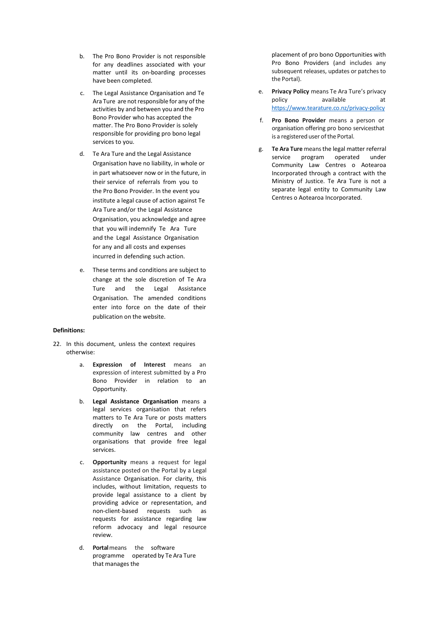- b. The Pro Bono Provider is not responsible for any deadlines associated with your matter until its on-boarding processes have been completed.
- c. The Legal Assistance Organisation and Te Ara Ture are not responsible for any of the activities by and between you and the Pro Bono Provider who has accepted the matter. The Pro Bono Provider is solely responsible for providing pro bono legal services to you.
- d. Te Ara Ture and the Legal Assistance Organisation have no liability, in whole or in part whatsoever now or in the future, in their service of referrals from you to the Pro Bono Provider. In the event you institute a legal cause of action against Te Ara Ture and/or the Legal Assistance Organisation, you acknowledge and agree that you will indemnify Te Ara Ture and the Legal Assistance Organisation for any and all costs and expenses incurred in defending such action.
- e. These terms and conditions are subject to change at the sole discretion of Te Ara Ture and the Legal Assistance Organisation. The amended conditions enter into force on the date of their publication on the website.

#### **Definitions:**

- 22. In this document, unless the context requires otherwise:
	- a. **Expression of Interest** means an expression of interest submitted by a Pro Bono Provider in relation to an Opportunity.
	- b. **Legal Assistance Organisation** means a legal services organisation that refers matters to Te Ara Ture or posts matters directly on the Portal, including community law centres and other organisations that provide free legal services.
	- c. **Opportunity** means a request for legal assistance posted on the Portal by a Legal Assistance Organisation. For clarity, this includes, without limitation, requests to provide legal assistance to a client by providing advice or representation, and non-client-based requests such as requests for assistance regarding law reform advocacy and legal resource review.
	- d. **Portal**means the software programme operated by Te Ara Ture that manages the

placement of pro bono Opportunities with Pro Bono Providers (and includes any subsequent releases, updates or patches to the Portal).

- e. **Privacy Policy** means Te Ara Ture's privacy policy available at <https://www.tearature.co.nz/privacy-policy>
- f. **Pro Bono Provider** means a person or organisation offering pro bono servicesthat is a registered user of the Portal.
- g. **Te Ara Ture** meansthe legal matter referral service program operated under Community Law Centres o Aotearoa Incorporated through a contract with the Ministry of Justice. Te Ara Ture is not a separate legal entity to Community Law Centres o Aotearoa Incorporated.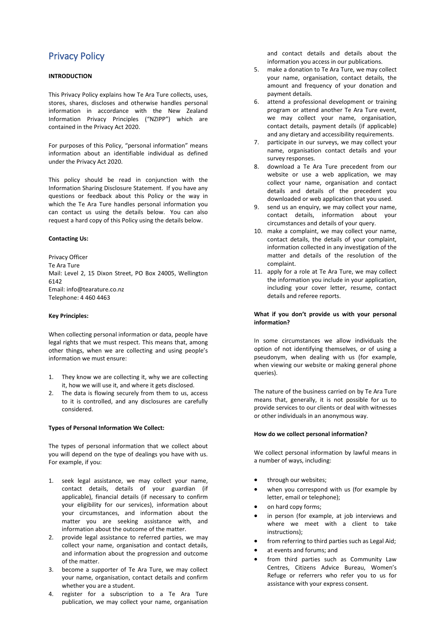# Privacy Policy

### **INTRODUCTION**

This Privacy Policy explains how Te Ara Ture collects, uses, stores, shares, discloses and otherwise handles personal information in accordance with the New Zealand Information Privacy Principles ("NZIPP") which are contained in the Privacy Act 2020.

For purposes of this Policy, "personal information" means information about an identifiable individual as defined under the Privacy Act 2020.

This policy should be read in conjunction with the Information Sharing Disclosure Statement. If you have any questions or feedback about this Policy or the way in which the Te Ara Ture handles personal information you can contact us using the details below. You can also request a hard copy of this Policy using the details below.

#### **Contacting Us:**

Privacy Officer Te Ara Ture Mail: Level 2, 15 Dixon Street, PO Box 24005, Wellington 6142 Email: info@tearature.co.nz Telephone: 4 460 4463

#### **Key Principles:**

When collecting personal information or data, people have legal rights that we must respect. This means that, among other things, when we are collecting and using people's information we must ensure:

- 1. They know we are collecting it, why we are collecting it, how we will use it, and where it gets disclosed.
- 2. The data is flowing securely from them to us, access to it is controlled, and any disclosures are carefully considered.

#### **Types of Personal Information We Collect:**

The types of personal information that we collect about you will depend on the type of dealings you have with us. For example, if you:

- 1. seek legal assistance, we may collect your name, contact details, details of your guardian (if applicable), financial details (if necessary to confirm your eligibility for our services), information about your circumstances, and information about the matter you are seeking assistance with, and information about the outcome of the matter.
- 2. provide legal assistance to referred parties, we may collect your name, organisation and contact details, and information about the progression and outcome of the matter.
- 3. become a supporter of Te Ara Ture, we may collect your name, organisation, contact details and confirm whether you are a student.
- 4. register for a subscription to a Te Ara Ture publication, we may collect your name, organisation

and contact details and details about the information you access in our publications.

- 5. make a donation to Te Ara Ture, we may collect your name, organisation, contact details, the amount and frequency of your donation and payment details.
- 6. attend a professional development or training program or attend another Te Ara Ture event, we may collect your name, organisation, contact details, payment details (if applicable) and any dietary and accessibility requirements.
- 7. participate in our surveys, we may collect your name, organisation contact details and your survey responses.
- 8. download a Te Ara Ture precedent from our website or use a web application, we may collect your name, organisation and contact details and details of the precedent you downloaded or web application that you used.
- 9. send us an enquiry, we may collect your name, contact details, information about your circumstances and details of your query.
- 10. make a complaint, we may collect your name, contact details, the details of your complaint, information collected in any investigation of the matter and details of the resolution of the complaint.
- 11. apply for a role at Te Ara Ture, we may collect the information you include in your application, including your cover letter, resume, contact details and referee reports.

#### **What if you don't provide us with your personal information?**

In some circumstances we allow individuals the option of not identifying themselves, or of using a pseudonym, when dealing with us (for example, when viewing our website or making general phone queries).

The nature of the business carried on by Te Ara Ture means that, generally, it is not possible for us to provide services to our clients or deal with witnesses or other individuals in an anonymous way.

#### **How do we collect personal information?**

We collect personal information by lawful means in a number of ways, including:

- through our websites;
- when you correspond with us (for example by letter, email or telephone);
- on hard copy forms;
- in person (for example, at job interviews and where we meet with a client to take instructions);
- from referring to third parties such as Legal Aid;
- at events and forums; and
- from third parties such as Community Law Centres, Citizens Advice Bureau, Women's Refuge or referrers who refer you to us for assistance with your express consent.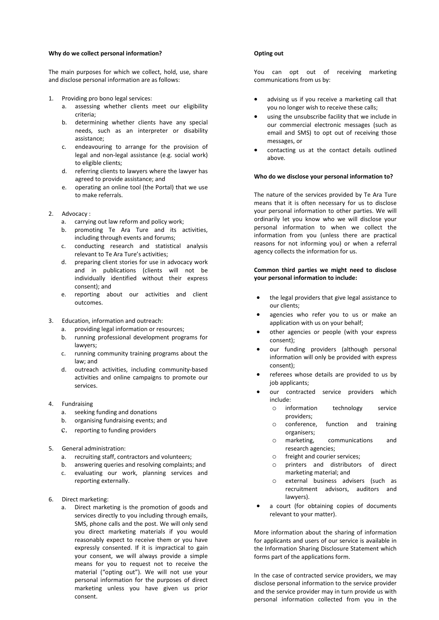#### **Why do we collect personal information?**

The main purposes for which we collect, hold, use, share and disclose personal information are as follows:

- 1. Providing pro bono legal services:
	- a. assessing whether clients meet our eligibility criteria;
	- b. determining whether clients have any special needs, such as an interpreter or disability assistance;
	- c. endeavouring to arrange for the provision of legal and non-legal assistance (e.g. social work) to eligible clients;
	- d. referring clients to lawyers where the lawyer has agreed to provide assistance; and
	- e. operating an online tool (the Portal) that we use to make referrals.
- 2. Advocacy :
	- a. carrying out law reform and policy work;
	- b. promoting Te Ara Ture and its activities, including through events and forums;
	- c. conducting research and statistical analysis relevant to Te Ara Ture's activities;
	- d. preparing client stories for use in advocacy work and in publications (clients will not be individually identified without their express consent); and
	- e. reporting about our activities and client outcomes.
- 3. Education, information and outreach:
	- a. providing legal information or resources;
	- b. running professional development programs for lawyers;
	- c. running community training programs about the law; and
	- d. outreach activities, including community-based activities and online campaigns to promote our services.
- 4. Fundraising
	- a. seeking funding and donations
	- b. organising fundraising events; and
	- c. reporting to funding providers
- 5. General administration:
	- a. recruiting staff, contractors and volunteers;
	- b. answering queries and resolving complaints; and
	- c. evaluating our work, planning services and reporting externally.
- 6. Direct marketing:
	- a. Direct marketing is the promotion of goods and services directly to you including through emails, SMS, phone calls and the post. We will only send you direct marketing materials if you would reasonably expect to receive them or you have expressly consented. If it is impractical to gain your consent, we will always provide a simple means for you to request not to receive the material ("opting out"). We will not use your personal information for the purposes of direct marketing unless you have given us prior consent.

#### **Opting out**

You can opt out of receiving marketing communications from us by:

- advising us if you receive a marketing call that you no longer wish to receive these calls;
- using the unsubscribe facility that we include in our commercial electronic messages (such as email and SMS) to opt out of receiving those messages, or
- contacting us at the contact details outlined above.

#### **Who do we disclose your personal information to?**

The nature of the services provided by Te Ara Ture means that it is often necessary for us to disclose your personal information to other parties. We will ordinarily let you know who we will disclose your personal information to when we collect the information from you (unless there are practical reasons for not informing you) or when a referral agency collects the information for us.

#### **Common third parties we might need to disclose your personal information to include:**

- the legal providers that give legal assistance to our clients;
- agencies who refer you to us or make an application with us on your behalf;
- other agencies or people (with your express consent);
- our funding providers (although personal information will only be provided with express consent);
- referees whose details are provided to us by job applicants;
- our contracted service providers which include:
	- o information technology service providers;
	- o conference, function and training organisers;
	- o marketing, communications and research agencies;
	- $\circ$  freight and courier services;<br> $\circ$  printers and distributors
	- printers and distributors of direct marketing material; and
	- o external business advisers (such as recruitment advisors, auditors and lawyers).
- a court (for obtaining copies of documents relevant to your matter).

More information about the sharing of information for applicants and users of our service is available in the Information Sharing Disclosure Statement which forms part of the applications form.

In the case of contracted service providers, we may disclose personal information to the service provider and the service provider may in turn provide us with personal information collected from you in the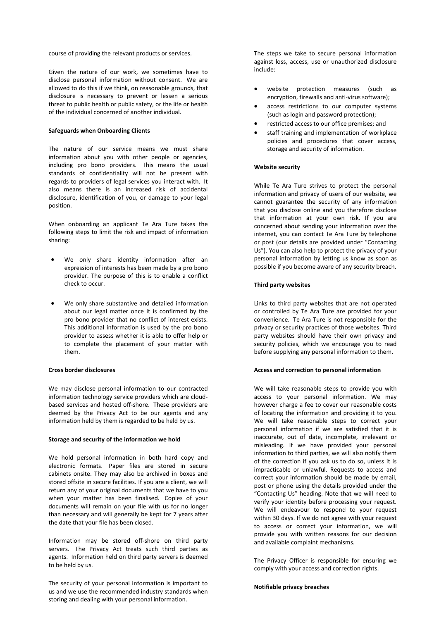course of providing the relevant products or services.

Given the nature of our work, we sometimes have to disclose personal information without consent. We are allowed to do this if we think, on reasonable grounds, that disclosure is necessary to prevent or lessen a serious threat to public health or public safety, or the life or health of the individual concerned of another individual.

#### **Safeguards when Onboarding Clients**

The nature of our service means we must share information about you with other people or agencies, including pro bono providers. This means the usual standards of confidentiality will not be present with regards to providers of legal services you interact with. It also means there is an increased risk of accidental disclosure, identification of you, or damage to your legal position.

When onboarding an applicant Te Ara Ture takes the following steps to limit the risk and impact of information sharing:

- We only share identity information after an expression of interests has been made by a pro bono provider. The purpose of this is to enable a conflict check to occur.
- We only share substantive and detailed information about our legal matter once it is confirmed by the pro bono provider that no conflict of interest exists. This additional information is used by the pro bono provider to assess whether it is able to offer help or to complete the placement of your matter with them.

#### **Cross border disclosures**

We may disclose personal information to our contracted information technology service providers which are cloudbased services and hosted off-shore. These providers are deemed by the Privacy Act to be our agents and any information held by them is regarded to be held by us.

#### **Storage and security of the information we hold**

We hold personal information in both hard copy and electronic formats. Paper files are stored in secure cabinets onsite. They may also be archived in boxes and stored offsite in secure facilities. If you are a client, we will return any of your original documents that we have to you when your matter has been finalised. Copies of your documents will remain on your file with us for no longer than necessary and will generally be kept for 7 years after the date that your file has been closed.

Information may be stored off-shore on third party servers. The Privacy Act treats such third parties as agents. Information held on third party servers is deemed to be held by us.

The security of your personal information is important to us and we use the recommended industry standards when storing and dealing with your personal information.

The steps we take to secure personal information against loss, access, use or unauthorized disclosure include:

- website protection measures (such as encryption, firewalls and anti-virus software);
- access restrictions to our computer systems (such as login and password protection);
- restricted access to our office premises; and
- staff training and implementation of workplace policies and procedures that cover access, storage and security of information.

#### **Website security**

While Te Ara Ture strives to protect the personal information and privacy of users of our website, we cannot guarantee the security of any information that you disclose online and you therefore disclose that information at your own risk. If you are concerned about sending your information over the internet, you can contact Te Ara Ture by telephone or post (our details are provided under "Contacting Us"). You can also help to protect the privacy of your personal information by letting us know as soon as possible if you become aware of any security breach.

#### **Third party websites**

Links to third party websites that are not operated or controlled by Te Ara Ture are provided for your convenience. Te Ara Ture is not responsible for the privacy or security practices of those websites. Third party websites should have their own privacy and security policies, which we encourage you to read before supplying any personal information to them.

#### **Access and correction to personal information**

We will take reasonable steps to provide you with access to your personal information. We may however charge a fee to cover our reasonable costs of locating the information and providing it to you. We will take reasonable steps to correct your personal information if we are satisfied that it is inaccurate, out of date, incomplete, irrelevant or misleading. If we have provided your personal information to third parties, we will also notify them of the correction if you ask us to do so, unless it is impracticable or unlawful. Requests to access and correct your information should be made by email, post or phone using the details provided under the "Contacting Us" heading. Note that we will need to verify your identity before processing your request. We will endeavour to respond to your request within 30 days. If we do not agree with your request to access or correct your information, we will provide you with written reasons for our decision and available complaint mechanisms.

The Privacy Officer is responsible for ensuring we comply with your access and correction rights.

**Notifiable privacy breaches**